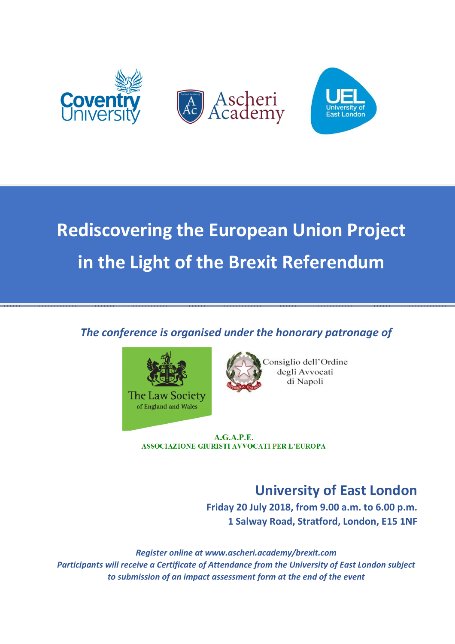

# **Rediscovering the European Union Project in the Light of the Brexit Referendum**

# *The conference is organised under the honorary patronage of*





Consiglio dell'Ordine degli Avvocati di Napoli

**A.G.A.P.E. ASSOCIAZIONE GIURISTI AVVOCATI PER L'EUROPA** 

# **University of East London**

**Friday 20 July 2018, from 9.00 a.m. to 6.00 p.m. 1 Salway Road, Stratford, London, E15 1NF** 

*Register online at www.ascheri.academy/brexit.com Participants will receive a Certificate of Attendance from the University of East London subject to submission of an impact assessment form at the end of the event*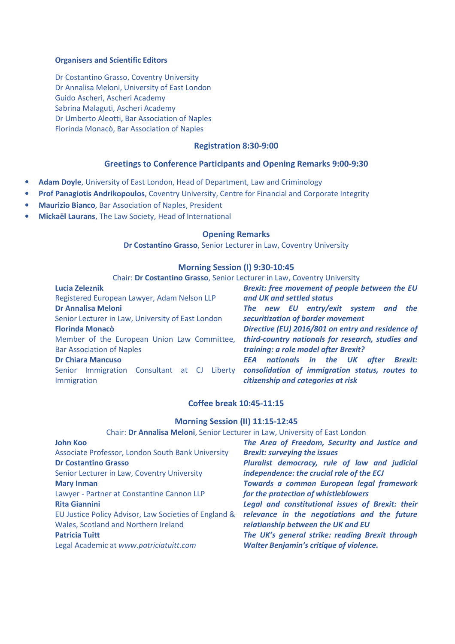#### **Organisers and Scientific Editors**

Dr Costantino Grasso, Coventry University Dr Annalisa Meloni, University of East London Guido Ascheri, Ascheri Academy Sabrina Malaguti, Ascheri Academy Dr Umberto Aleotti, Bar Association of Naples Florinda Monacò, Bar Association of Naples

#### **Registration 8:30-9:00**

### **Greetings to Conference Participants and Opening Remarks 9:00-9:30**

- **Adam Doyle**, University of East London, Head of Department, Law and Criminology
- **Prof Panagiotis Andrikopoulos**, Coventry University, Centre for Financial and Corporate Integrity
- **Maurizio Bianco**, Bar Association of Naples, President
- **Mickaël Laurans**, The Law Society, Head of International

#### **Opening Remarks**

**Dr Costantino Grasso**, Senior Lecturer in Law, Coventry University

#### **Morning Session (I) 9:30-10:45**

Chair: **Dr Costantino Grasso**, Senior Lecturer in Law, Coventry University

| <b>Lucia Zeleznik</b>                                      | Brexit: free movement of people between the EU                                       |
|------------------------------------------------------------|--------------------------------------------------------------------------------------|
| Registered European Lawyer, Adam Nelson LLP                | and UK and settled status                                                            |
| <b>Dr Annalisa Meloni</b>                                  | The new EU entry/exit system and the                                                 |
| Senior Lecturer in Law, University of East London          | securitization of border movement                                                    |
| <b>Florinda Monacò</b>                                     | Directive (EU) 2016/801 on entry and residence of                                    |
| Member of the European Union Law Committee,                | third-country nationals for research, studies and                                    |
| <b>Bar Association of Naples</b>                           | training: a role model after Brexit?                                                 |
| <b>Dr Chiara Mancuso</b>                                   | <b>EEA</b> nationals in the UK after Brexit:                                         |
| Senior Immigration Consultant at CJ Liberty<br>Immigration | consolidation of immigration status, routes to<br>citizenship and categories at risk |

#### **Coffee break 10:45-11:15**

#### **Morning Session (II) 11:15-12:45**

#### Chair: **Dr Annalisa Meloni**, Senior Lecturer in Law, University of East London

| <b>John Koo</b>                                       | The Area of Freedom, Security and Justice and    |
|-------------------------------------------------------|--------------------------------------------------|
| Associate Professor, London South Bank University     | <b>Brexit: surveying the issues</b>              |
| <b>Dr Costantino Grasso</b>                           | Pluralist democracy, rule of law and judicial    |
| Senior Lecturer in Law, Coventry University           | independence: the crucial role of the ECJ        |
| <b>Mary Inman</b>                                     | Towards a common European legal framework        |
| Lawyer - Partner at Constantine Cannon LLP            | for the protection of whistleblowers             |
| <b>Rita Giannini</b>                                  | Legal and constitutional issues of Brexit: their |
| EU Justice Policy Advisor, Law Societies of England & | relevance in the negotiations and the future     |
| Wales, Scotland and Northern Ireland                  | relationship between the UK and EU               |
| <b>Patricia Tuitt</b>                                 | The UK's general strike: reading Brexit through  |
| Legal Academic at www.patriciatuitt.com               | <b>Walter Benjamin's critique of violence.</b>   |